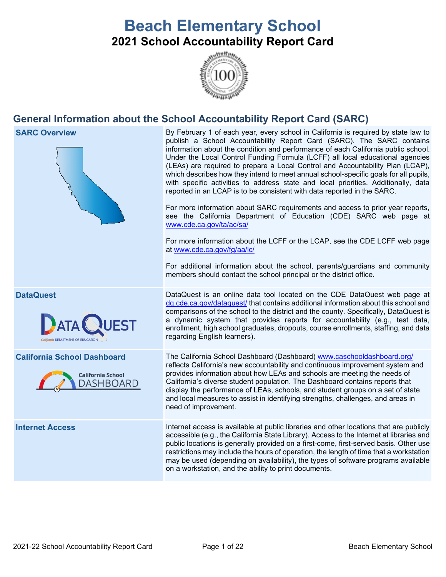# **Beach Elementary School 2021 School Accountability Report Card**



# **General Information about the School Accountability Report Card (SARC)**

| <b>SARC Overview</b>                                                               | By February 1 of each year, every school in California is required by state law to<br>publish a School Accountability Report Card (SARC). The SARC contains<br>information about the condition and performance of each California public school.<br>Under the Local Control Funding Formula (LCFF) all local educational agencies<br>(LEAs) are required to prepare a Local Control and Accountability Plan (LCAP),<br>which describes how they intend to meet annual school-specific goals for all pupils,<br>with specific activities to address state and local priorities. Additionally, data<br>reported in an LCAP is to be consistent with data reported in the SARC.<br>For more information about SARC requirements and access to prior year reports,<br>see the California Department of Education (CDE) SARC web page at<br>www.cde.ca.gov/ta/ac/sa/<br>For more information about the LCFF or the LCAP, see the CDE LCFF web page<br>at www.cde.ca.gov/fg/aa/lc/<br>For additional information about the school, parents/guardians and community<br>members should contact the school principal or the district office. |  |  |
|------------------------------------------------------------------------------------|-------------------------------------------------------------------------------------------------------------------------------------------------------------------------------------------------------------------------------------------------------------------------------------------------------------------------------------------------------------------------------------------------------------------------------------------------------------------------------------------------------------------------------------------------------------------------------------------------------------------------------------------------------------------------------------------------------------------------------------------------------------------------------------------------------------------------------------------------------------------------------------------------------------------------------------------------------------------------------------------------------------------------------------------------------------------------------------------------------------------------------------|--|--|
| <b>DataQuest</b><br><b>NUEST</b>                                                   | DataQuest is an online data tool located on the CDE DataQuest web page at<br>dg.cde.ca.gov/dataguest/ that contains additional information about this school and<br>comparisons of the school to the district and the county. Specifically, DataQuest is<br>a dynamic system that provides reports for accountability (e.g., test data,<br>enrollment, high school graduates, dropouts, course enrollments, staffing, and data<br>regarding English learners).                                                                                                                                                                                                                                                                                                                                                                                                                                                                                                                                                                                                                                                                      |  |  |
| <b>California School Dashboard</b><br><b>California School</b><br><b>DASHBOARD</b> | The California School Dashboard (Dashboard) www.caschooldashboard.org/<br>reflects California's new accountability and continuous improvement system and<br>provides information about how LEAs and schools are meeting the needs of<br>California's diverse student population. The Dashboard contains reports that<br>display the performance of LEAs, schools, and student groups on a set of state<br>and local measures to assist in identifying strengths, challenges, and areas in<br>need of improvement.                                                                                                                                                                                                                                                                                                                                                                                                                                                                                                                                                                                                                   |  |  |
| <b>Internet Access</b>                                                             | Internet access is available at public libraries and other locations that are publicly<br>accessible (e.g., the California State Library). Access to the Internet at libraries and<br>public locations is generally provided on a first-come, first-served basis. Other use<br>restrictions may include the hours of operation, the length of time that a workstation<br>may be used (depending on availability), the types of software programs available                                                                                                                                                                                                                                                                                                                                                                                                                                                                                                                                                                                                                                                                          |  |  |

on a workstation, and the ability to print documents.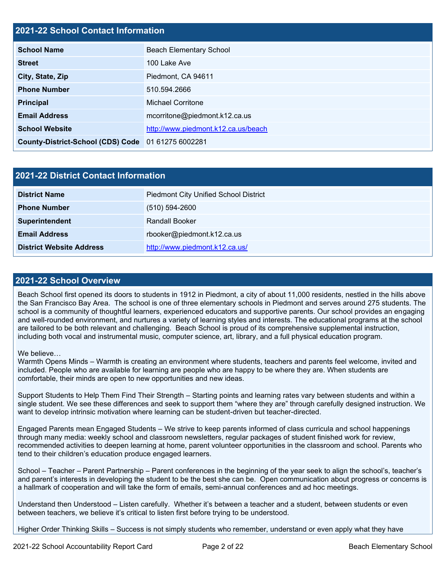# **2021-22 School Contact Information**

| <b>School Name</b>                                 | <b>Beach Elementary School</b>      |  |
|----------------------------------------------------|-------------------------------------|--|
| <b>Street</b>                                      | 100 Lake Ave                        |  |
| City, State, Zip                                   | Piedmont, CA 94611                  |  |
| <b>Phone Number</b>                                | 510.594.2666                        |  |
| <b>Principal</b>                                   | <b>Michael Corritone</b>            |  |
| <b>Email Address</b>                               | mcorritone@piedmont.k12.ca.us       |  |
| <b>School Website</b>                              | http://www.piedmont.k12.ca.us/beach |  |
| County-District-School (CDS) Code 01 61275 6002281 |                                     |  |

| 2021-22 District Contact Information |                                              |  |  |
|--------------------------------------|----------------------------------------------|--|--|
| <b>District Name</b>                 | <b>Piedmont City Unified School District</b> |  |  |
| <b>Phone Number</b>                  | $(510) 594 - 2600$                           |  |  |
| Superintendent                       | <b>Randall Booker</b>                        |  |  |
| <b>Email Address</b>                 | rbooker@piedmont.k12.ca.us                   |  |  |
| <b>District Website Address</b>      | http://www.piedmont.k12.ca.us/               |  |  |

#### **2021-22 School Overview**

Beach School first opened its doors to students in 1912 in Piedmont, a city of about 11,000 residents, nestled in the hills above the San Francisco Bay Area. The school is one of three elementary schools in Piedmont and serves around 275 students. The school is a community of thoughtful learners, experienced educators and supportive parents. Our school provides an engaging and well-rounded environment, and nurtures a variety of learning styles and interests. The educational programs at the school are tailored to be both relevant and challenging. Beach School is proud of its comprehensive supplemental instruction, including both vocal and instrumental music, computer science, art, library, and a full physical education program.

#### We believe…

Warmth Opens Minds – Warmth is creating an environment where students, teachers and parents feel welcome, invited and included. People who are available for learning are people who are happy to be where they are. When students are comfortable, their minds are open to new opportunities and new ideas.

Support Students to Help Them Find Their Strength – Starting points and learning rates vary between students and within a single student. We see these differences and seek to support them "where they are" through carefully designed instruction. We want to develop intrinsic motivation where learning can be student-driven but teacher-directed.

Engaged Parents mean Engaged Students – We strive to keep parents informed of class curricula and school happenings through many media: weekly school and classroom newsletters, regular packages of student finished work for review, recommended activities to deepen learning at home, parent volunteer opportunities in the classroom and school. Parents who tend to their children's education produce engaged learners.

School – Teacher – Parent Partnership – Parent conferences in the beginning of the year seek to align the school's, teacher's and parent's interests in developing the student to be the best she can be. Open communication about progress or concerns is a hallmark of cooperation and will take the form of emails, semi-annual conferences and ad hoc meetings.

Understand then Understood – Listen carefully. Whether it's between a teacher and a student, between students or even between teachers, we believe it's critical to listen first before trying to be understood.

Higher Order Thinking Skills – Success is not simply students who remember, understand or even apply what they have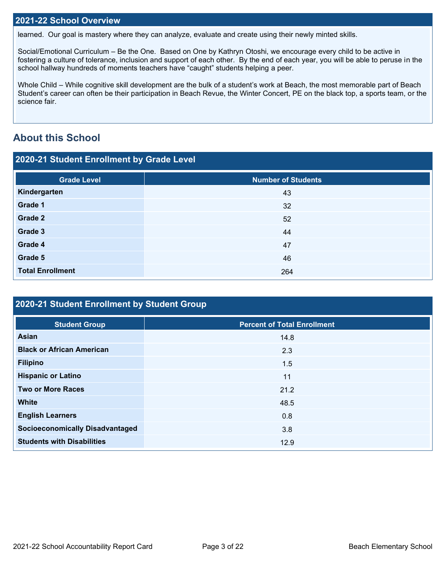#### **2021-22 School Overview**

learned. Our goal is mastery where they can analyze, evaluate and create using their newly minted skills.

Social/Emotional Curriculum – Be the One. Based on One by Kathryn Otoshi, we encourage every child to be active in fostering a culture of tolerance, inclusion and support of each other. By the end of each year, you will be able to peruse in the school hallway hundreds of moments teachers have "caught" students helping a peer.

Whole Child – While cognitive skill development are the bulk of a student's work at Beach, the most memorable part of Beach Student's career can often be their participation in Beach Revue, the Winter Concert, PE on the black top, a sports team, or the science fair.

# **About this School**

| 2020-21 Student Enrollment by Grade Level |                           |  |  |  |
|-------------------------------------------|---------------------------|--|--|--|
| <b>Grade Level</b>                        | <b>Number of Students</b> |  |  |  |
| Kindergarten                              | 43                        |  |  |  |
| Grade 1                                   | 32                        |  |  |  |
| Grade 2                                   | 52                        |  |  |  |
| Grade 3                                   | 44                        |  |  |  |
| Grade 4                                   | 47                        |  |  |  |
| Grade 5                                   | 46                        |  |  |  |
| <b>Total Enrollment</b>                   | 264                       |  |  |  |

| 2020-21 Student Enrollment by Student Group |                                    |  |  |  |
|---------------------------------------------|------------------------------------|--|--|--|
| <b>Student Group</b>                        | <b>Percent of Total Enrollment</b> |  |  |  |
| Asian                                       | 14.8                               |  |  |  |
| <b>Black or African American</b>            | 2.3                                |  |  |  |
| <b>Filipino</b>                             | 1.5                                |  |  |  |
| <b>Hispanic or Latino</b>                   | 11                                 |  |  |  |
| <b>Two or More Races</b>                    | 21.2                               |  |  |  |
| <b>White</b>                                | 48.5                               |  |  |  |
| <b>English Learners</b>                     | 0.8                                |  |  |  |
| <b>Socioeconomically Disadvantaged</b>      | 3.8                                |  |  |  |
| <b>Students with Disabilities</b>           | 12.9                               |  |  |  |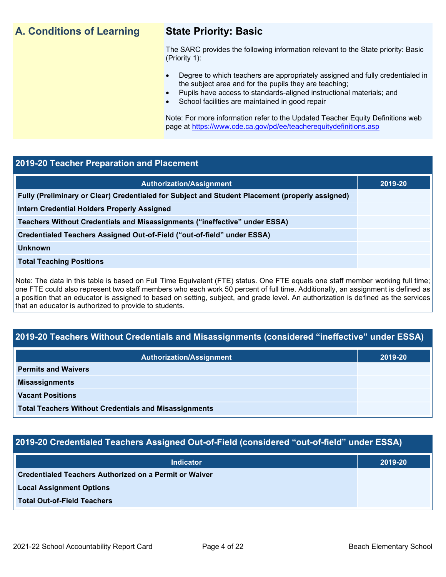# **A. Conditions of Learning State Priority: Basic**

The SARC provides the following information relevant to the State priority: Basic (Priority 1):

- Degree to which teachers are appropriately assigned and fully credentialed in the subject area and for the pupils they are teaching;
	- Pupils have access to standards-aligned instructional materials; and
- School facilities are maintained in good repair

Note: For more information refer to the Updated Teacher Equity Definitions web page at<https://www.cde.ca.gov/pd/ee/teacherequitydefinitions.asp>

#### **2019-20 Teacher Preparation and Placement**

| <b>Authorization/Assignment</b>                                                                 | 2019-20 |
|-------------------------------------------------------------------------------------------------|---------|
| Fully (Preliminary or Clear) Credentialed for Subject and Student Placement (properly assigned) |         |
| <b>Intern Credential Holders Properly Assigned</b>                                              |         |
| Teachers Without Credentials and Misassignments ("ineffective" under ESSA)                      |         |
| Credentialed Teachers Assigned Out-of-Field ("out-of-field" under ESSA)                         |         |
| <b>Unknown</b>                                                                                  |         |
| <b>Total Teaching Positions</b>                                                                 |         |
|                                                                                                 |         |

Note: The data in this table is based on Full Time Equivalent (FTE) status. One FTE equals one staff member working full time; one FTE could also represent two staff members who each work 50 percent of full time. Additionally, an assignment is defined as a position that an educator is assigned to based on setting, subject, and grade level. An authorization is defined as the services that an educator is authorized to provide to students.

#### **2019-20 Teachers Without Credentials and Misassignments (considered "ineffective" under ESSA)**

| <b>Authorization/Assignment</b>                              | 2019-20 |  |
|--------------------------------------------------------------|---------|--|
| <b>Permits and Waivers</b>                                   |         |  |
| <b>Misassignments</b>                                        |         |  |
| <b>Vacant Positions</b>                                      |         |  |
| <b>Total Teachers Without Credentials and Misassignments</b> |         |  |

#### **2019-20 Credentialed Teachers Assigned Out-of-Field (considered "out-of-field" under ESSA)**

| <b>Indicator</b>                                       | 2019-20 |
|--------------------------------------------------------|---------|
| Credentialed Teachers Authorized on a Permit or Waiver |         |
| <b>Local Assignment Options</b>                        |         |
| <b>Total Out-of-Field Teachers</b>                     |         |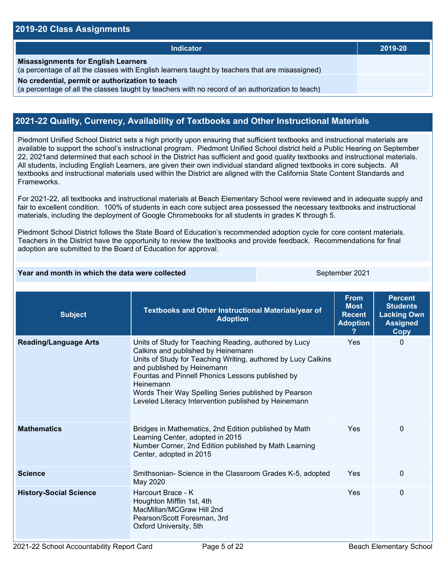#### **2019-20 Class Assignments**

| <b>Indicator</b>                                                                                                                                    | 2019-20 |
|-----------------------------------------------------------------------------------------------------------------------------------------------------|---------|
| <b>Misassignments for English Learners</b><br>(a percentage of all the classes with English learners taught by teachers that are misassigned)       |         |
| No credential, permit or authorization to teach<br>(a percentage of all the classes taught by teachers with no record of an authorization to teach) |         |

#### **2021-22 Quality, Currency, Availability of Textbooks and Other Instructional Materials**

Piedmont Unified School District sets a high priority upon ensuring that sufficient textbooks and instructional materials are available to support the school's instructional program. Piedmont Unified School district held a Public Hearing on September 22, 2021and determined that each school in the District has sufficient and good quality textbooks and instructional materials. All students, including English Learners, are given their own individual standard aligned textbooks in core subjects. All textbooks and instructional materials used within the District are aligned with the California State Content Standards and Frameworks.

For 2021-22, all textbooks and instructional materials at Beach Elementary School were reviewed and in adequate supply and fair to excellent condition. 100% of students in each core subject area possessed the necessary textbooks and instructional materials, including the deployment of Google Chromebooks for all students in grades K through 5.

Piedmont School District follows the State Board of Education's recommended adoption cycle for core content materials. Teachers in the District have the opportunity to review the textbooks and provide feedback. Recommendations for final adoption are submitted to the Board of Education for approval.

| Year and month in which the data were collected |                                                                                                                                                                                                                                                                                                                                                                             | September 2021                                                 |                                                                                           |          |
|-------------------------------------------------|-----------------------------------------------------------------------------------------------------------------------------------------------------------------------------------------------------------------------------------------------------------------------------------------------------------------------------------------------------------------------------|----------------------------------------------------------------|-------------------------------------------------------------------------------------------|----------|
| <b>Subject</b>                                  | Textbooks and Other Instructional Materials/year of<br><b>Adoption</b>                                                                                                                                                                                                                                                                                                      | <b>From</b><br><b>Most</b><br><b>Recent</b><br><b>Adoption</b> | <b>Percent</b><br><b>Students</b><br><b>Lacking Own</b><br><b>Assigned</b><br><b>Copy</b> |          |
| <b>Reading/Language Arts</b>                    | Units of Study for Teaching Reading, authored by Lucy<br>Calkins and published by Heinemann<br>Units of Study for Teaching Writing, authored by Lucy Calkins<br>and published by Heinemann<br>Fountas and Pinnell Phonics Lessons published by<br>Heinemann<br>Words Their Way Spelling Series published by Pearson<br>Leveled Literacy Intervention published by Heinemann |                                                                | Yes                                                                                       | $\Omega$ |
| <b>Mathematics</b>                              | Bridges in Mathematics, 2nd Edition published by Math<br>Learning Center, adopted in 2015<br>Number Corner, 2nd Edition published by Math Learning<br>Center, adopted in 2015                                                                                                                                                                                               |                                                                | Yes                                                                                       | 0        |
| <b>Science</b>                                  | Smithsonian- Science in the Classroom Grades K-5, adopted<br>May 2020                                                                                                                                                                                                                                                                                                       |                                                                | Yes                                                                                       | $\Omega$ |
| <b>History-Social Science</b>                   | Harcourt Brace - K<br>Houghton Mifflin 1st, 4th<br>MacMillan/MCGraw Hill 2nd<br>Pearson/Scott Foresman, 3rd<br>Oxford University, 5th                                                                                                                                                                                                                                       |                                                                | Yes                                                                                       | 0        |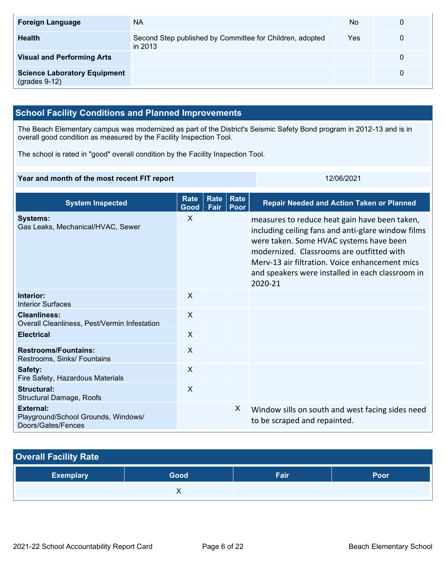| <b>Foreign Language</b>                                | <b>NA</b>                                                           | <b>No</b> | $\mathbf{0}$ |
|--------------------------------------------------------|---------------------------------------------------------------------|-----------|--------------|
| <b>Health</b>                                          | Second Step published by Committee for Children, adopted<br>in 2013 | Yes       | 0            |
| <b>Visual and Performing Arts</b>                      |                                                                     |           | 0            |
| <b>Science Laboratory Equipment</b><br>$(grades 9-12)$ |                                                                     |           | 0            |

## **School Facility Conditions and Planned Improvements**

The Beach Elementary campus was modernized as part of the District's Seismic Safety Bond program in 2012-13 and is in overall good condition as measured by the Facility Inspection Tool.

The school is rated in "good" overall condition by the Facility Inspection Tool.

#### **Year and month of the most recent FIT report** 12/06/2021

| <b>System Inspected</b>                                                       | <b>Rate</b><br>Good | <b>Rate</b><br>Fair | Rate<br>Poor | <b>Repair Needed and Action Taken or Planned</b>                                                                                                                                                                                                                                                             |
|-------------------------------------------------------------------------------|---------------------|---------------------|--------------|--------------------------------------------------------------------------------------------------------------------------------------------------------------------------------------------------------------------------------------------------------------------------------------------------------------|
| <b>Systems:</b><br>Gas Leaks, Mechanical/HVAC, Sewer                          | X                   |                     |              | measures to reduce heat gain have been taken,<br>including ceiling fans and anti-glare window films<br>were taken. Some HVAC systems have been<br>modernized. Classrooms are outfitted with<br>Merv-13 air filtration. Voice enhancement mics<br>and speakers were installed in each classroom in<br>2020-21 |
| Interior:<br><b>Interior Surfaces</b>                                         | X                   |                     |              |                                                                                                                                                                                                                                                                                                              |
| <b>Cleanliness:</b><br>Overall Cleanliness, Pest/Vermin Infestation           | $\sf X$             |                     |              |                                                                                                                                                                                                                                                                                                              |
| <b>Electrical</b>                                                             | $\sf X$             |                     |              |                                                                                                                                                                                                                                                                                                              |
| <b>Restrooms/Fountains:</b><br>Restrooms, Sinks/ Fountains                    | $\mathsf{X}$        |                     |              |                                                                                                                                                                                                                                                                                                              |
| Safety:<br>Fire Safety, Hazardous Materials                                   | X                   |                     |              |                                                                                                                                                                                                                                                                                                              |
| Structural:<br><b>Structural Damage, Roofs</b>                                | X                   |                     |              |                                                                                                                                                                                                                                                                                                              |
| <b>External:</b><br>Playground/School Grounds, Windows/<br>Doors/Gates/Fences |                     |                     | X.           | Window sills on south and west facing sides need<br>to be scraped and repainted.                                                                                                                                                                                                                             |

# **Overall Facility Rate Exemplary Good Fair Poor X X**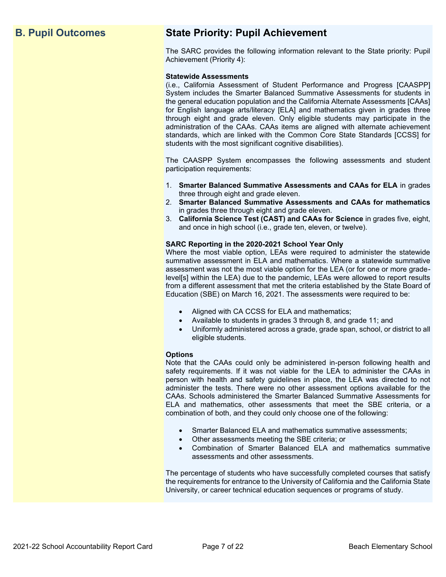# **B. Pupil Outcomes State Priority: Pupil Achievement**

The SARC provides the following information relevant to the State priority: Pupil Achievement (Priority 4):

#### **Statewide Assessments**

(i.e., California Assessment of Student Performance and Progress [CAASPP] System includes the Smarter Balanced Summative Assessments for students in the general education population and the California Alternate Assessments [CAAs] for English language arts/literacy [ELA] and mathematics given in grades three through eight and grade eleven. Only eligible students may participate in the administration of the CAAs. CAAs items are aligned with alternate achievement standards, which are linked with the Common Core State Standards [CCSS] for students with the most significant cognitive disabilities).

The CAASPP System encompasses the following assessments and student participation requirements:

- 1. **Smarter Balanced Summative Assessments and CAAs for ELA** in grades three through eight and grade eleven.
- 2. **Smarter Balanced Summative Assessments and CAAs for mathematics** in grades three through eight and grade eleven.
- 3. **California Science Test (CAST) and CAAs for Science** in grades five, eight, and once in high school (i.e., grade ten, eleven, or twelve).

#### **SARC Reporting in the 2020-2021 School Year Only**

Where the most viable option, LEAs were required to administer the statewide summative assessment in ELA and mathematics. Where a statewide summative assessment was not the most viable option for the LEA (or for one or more gradelevel[s] within the LEA) due to the pandemic, LEAs were allowed to report results from a different assessment that met the criteria established by the State Board of Education (SBE) on March 16, 2021. The assessments were required to be:

- Aligned with CA CCSS for ELA and mathematics;
- Available to students in grades 3 through 8, and grade 11; and
- Uniformly administered across a grade, grade span, school, or district to all eligible students.

#### **Options**

Note that the CAAs could only be administered in-person following health and safety requirements. If it was not viable for the LEA to administer the CAAs in person with health and safety guidelines in place, the LEA was directed to not administer the tests. There were no other assessment options available for the CAAs. Schools administered the Smarter Balanced Summative Assessments for ELA and mathematics, other assessments that meet the SBE criteria, or a combination of both, and they could only choose one of the following:

- Smarter Balanced ELA and mathematics summative assessments;
- Other assessments meeting the SBE criteria; or
- Combination of Smarter Balanced ELA and mathematics summative assessments and other assessments.

The percentage of students who have successfully completed courses that satisfy the requirements for entrance to the University of California and the California State University, or career technical education sequences or programs of study.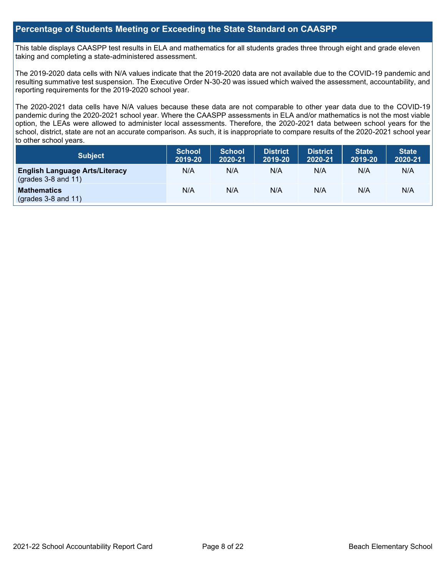#### **Percentage of Students Meeting or Exceeding the State Standard on CAASPP**

This table displays CAASPP test results in ELA and mathematics for all students grades three through eight and grade eleven taking and completing a state-administered assessment.

The 2019-2020 data cells with N/A values indicate that the 2019-2020 data are not available due to the COVID-19 pandemic and resulting summative test suspension. The Executive Order N-30-20 was issued which waived the assessment, accountability, and reporting requirements for the 2019-2020 school year.

The 2020-2021 data cells have N/A values because these data are not comparable to other year data due to the COVID-19 pandemic during the 2020-2021 school year. Where the CAASPP assessments in ELA and/or mathematics is not the most viable option, the LEAs were allowed to administer local assessments. Therefore, the 2020-2021 data between school years for the school, district, state are not an accurate comparison. As such, it is inappropriate to compare results of the 2020-2021 school year to other school years.

| Subject                                                              | <b>School</b><br>2019-20 | <b>School</b><br>2020-21 | <b>District</b><br>2019-20 | <b>District</b><br>2020-21 | <b>State</b><br>2019-20 | <b>State</b><br>2020-21 |
|----------------------------------------------------------------------|--------------------------|--------------------------|----------------------------|----------------------------|-------------------------|-------------------------|
| <b>English Language Arts/Literacy</b><br>$\left($ grades 3-8 and 11) | N/A                      | N/A                      | N/A                        | N/A                        | N/A                     | N/A                     |
| <b>Mathematics</b><br>$(grades 3-8 and 11)$                          | N/A                      | N/A                      | N/A                        | N/A                        | N/A                     | N/A                     |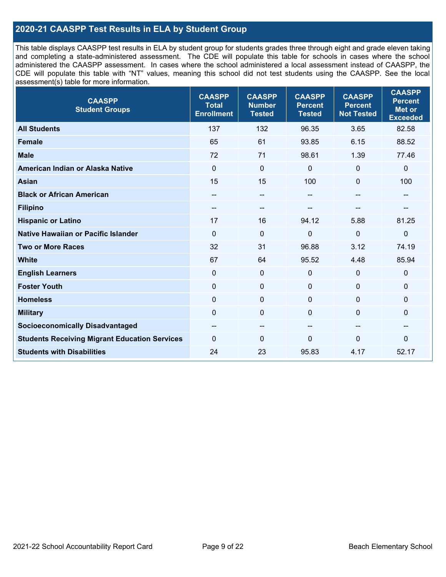### **2020-21 CAASPP Test Results in ELA by Student Group**

This table displays CAASPP test results in ELA by student group for students grades three through eight and grade eleven taking and completing a state-administered assessment. The CDE will populate this table for schools in cases where the school administered the CAASPP assessment. In cases where the school administered a local assessment instead of CAASPP, the CDE will populate this table with "NT" values, meaning this school did not test students using the CAASPP. See the local assessment(s) table for more information.

| <b>CAASPP</b><br><b>Student Groups</b>               | <b>CAASPP</b><br><b>Total</b><br><b>Enrollment</b> | <b>CAASPP</b><br><b>Number</b><br><b>Tested</b> | <b>CAASPP</b><br><b>Percent</b><br><b>Tested</b> | <b>CAASPP</b><br><b>Percent</b><br><b>Not Tested</b> | <b>CAASPP</b><br><b>Percent</b><br><b>Met or</b><br><b>Exceeded</b> |
|------------------------------------------------------|----------------------------------------------------|-------------------------------------------------|--------------------------------------------------|------------------------------------------------------|---------------------------------------------------------------------|
| <b>All Students</b>                                  | 137                                                | 132                                             | 96.35                                            | 3.65                                                 | 82.58                                                               |
| <b>Female</b>                                        | 65                                                 | 61                                              | 93.85                                            | 6.15                                                 | 88.52                                                               |
| <b>Male</b>                                          | 72                                                 | 71                                              | 98.61                                            | 1.39                                                 | 77.46                                                               |
| American Indian or Alaska Native                     | $\mathbf 0$                                        | $\mathbf 0$                                     | $\mathbf 0$                                      | $\mathbf{0}$                                         | $\mathbf 0$                                                         |
| <b>Asian</b>                                         | 15                                                 | 15                                              | 100                                              | $\Omega$                                             | 100                                                                 |
| <b>Black or African American</b>                     | $\qquad \qquad -$                                  | $\overline{\phantom{a}}$                        | $-$                                              | $\overline{\phantom{a}}$                             | --                                                                  |
| <b>Filipino</b>                                      | $- -$                                              | --                                              |                                                  |                                                      |                                                                     |
| <b>Hispanic or Latino</b>                            | 17                                                 | 16                                              | 94.12                                            | 5.88                                                 | 81.25                                                               |
| <b>Native Hawaiian or Pacific Islander</b>           | $\mathbf 0$                                        | $\mathbf 0$                                     | 0                                                | 0                                                    | $\pmb{0}$                                                           |
| <b>Two or More Races</b>                             | 32                                                 | 31                                              | 96.88                                            | 3.12                                                 | 74.19                                                               |
| <b>White</b>                                         | 67                                                 | 64                                              | 95.52                                            | 4.48                                                 | 85.94                                                               |
| <b>English Learners</b>                              | $\Omega$                                           | $\mathbf 0$                                     | $\Omega$                                         | $\mathbf{0}$                                         | $\mathbf 0$                                                         |
| <b>Foster Youth</b>                                  | $\mathbf 0$                                        | $\mathbf 0$                                     | $\mathbf{0}$                                     | $\mathbf 0$                                          | $\mathbf{0}$                                                        |
| <b>Homeless</b>                                      | $\mathbf 0$                                        | $\pmb{0}$                                       | $\mathbf 0$                                      | $\mathbf 0$                                          | $\mathbf 0$                                                         |
| <b>Military</b>                                      | $\overline{0}$                                     | $\pmb{0}$                                       | $\mathbf{0}$                                     | $\Omega$                                             | 0                                                                   |
| <b>Socioeconomically Disadvantaged</b>               | --                                                 | $\overline{\phantom{a}}$                        | --                                               | --                                                   | --                                                                  |
| <b>Students Receiving Migrant Education Services</b> | $\Omega$                                           | 0                                               | $\Omega$                                         | $\Omega$                                             | 0                                                                   |
| <b>Students with Disabilities</b>                    | 24                                                 | 23                                              | 95.83                                            | 4.17                                                 | 52.17                                                               |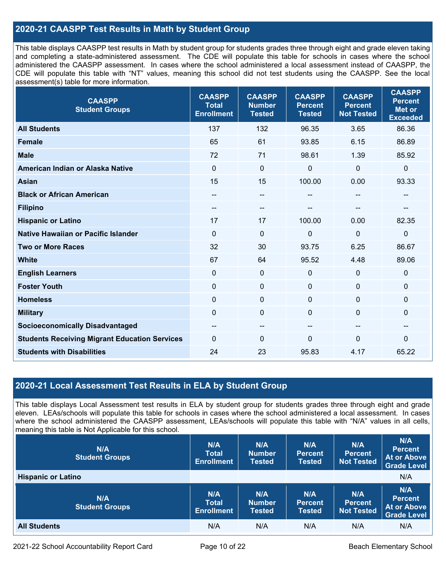### **2020-21 CAASPP Test Results in Math by Student Group**

This table displays CAASPP test results in Math by student group for students grades three through eight and grade eleven taking and completing a state-administered assessment. The CDE will populate this table for schools in cases where the school administered the CAASPP assessment. In cases where the school administered a local assessment instead of CAASPP, the CDE will populate this table with "NT" values, meaning this school did not test students using the CAASPP. See the local assessment(s) table for more information.

| <b>CAASPP</b><br><b>Student Groups</b>               | <b>CAASPP</b><br><b>Total</b><br><b>Enrollment</b> | <b>CAASPP</b><br><b>Number</b><br><b>Tested</b> | <b>CAASPP</b><br><b>Percent</b><br><b>Tested</b> | <b>CAASPP</b><br><b>Percent</b><br><b>Not Tested</b> | <b>CAASPP</b><br><b>Percent</b><br><b>Met or</b><br><b>Exceeded</b> |
|------------------------------------------------------|----------------------------------------------------|-------------------------------------------------|--------------------------------------------------|------------------------------------------------------|---------------------------------------------------------------------|
| <b>All Students</b>                                  | 137                                                | 132                                             | 96.35                                            | 3.65                                                 | 86.36                                                               |
| <b>Female</b>                                        | 65                                                 | 61                                              | 93.85                                            | 6.15                                                 | 86.89                                                               |
| <b>Male</b>                                          | 72                                                 | 71                                              | 98.61                                            | 1.39                                                 | 85.92                                                               |
| American Indian or Alaska Native                     | $\mathbf 0$                                        | $\mathbf 0$                                     | 0                                                | $\overline{0}$                                       | $\mathbf 0$                                                         |
| <b>Asian</b>                                         | 15                                                 | 15                                              | 100.00                                           | 0.00                                                 | 93.33                                                               |
| <b>Black or African American</b>                     | --                                                 | --                                              | --                                               |                                                      | --                                                                  |
| <b>Filipino</b>                                      | $\qquad \qquad -$                                  | --                                              |                                                  |                                                      |                                                                     |
| <b>Hispanic or Latino</b>                            | 17                                                 | 17                                              | 100.00                                           | 0.00                                                 | 82.35                                                               |
| <b>Native Hawaiian or Pacific Islander</b>           | 0                                                  | $\mathbf 0$                                     | 0                                                | $\mathbf 0$                                          | $\mathbf 0$                                                         |
| <b>Two or More Races</b>                             | 32                                                 | 30                                              | 93.75                                            | 6.25                                                 | 86.67                                                               |
| <b>White</b>                                         | 67                                                 | 64                                              | 95.52                                            | 4.48                                                 | 89.06                                                               |
| <b>English Learners</b>                              | $\Omega$                                           | $\mathbf 0$                                     | 0                                                | $\Omega$                                             | $\mathbf 0$                                                         |
| <b>Foster Youth</b>                                  | 0                                                  | 0                                               | $\Omega$                                         | $\mathbf{0}$                                         | $\mathbf 0$                                                         |
| <b>Homeless</b>                                      | $\mathbf 0$                                        | $\mathbf 0$                                     | $\mathbf{0}$                                     | $\overline{0}$                                       | $\mathbf 0$                                                         |
| <b>Military</b>                                      | $\mathbf 0$                                        | $\mathbf 0$                                     | 0                                                | $\Omega$                                             | $\mathbf 0$                                                         |
| <b>Socioeconomically Disadvantaged</b>               | --                                                 | $- -$                                           | $\overline{\phantom{a}}$                         | --                                                   | --                                                                  |
| <b>Students Receiving Migrant Education Services</b> | $\Omega$                                           | $\mathbf{0}$                                    | 0                                                | $\mathbf{0}$                                         | 0                                                                   |
| <b>Students with Disabilities</b>                    | 24                                                 | 23                                              | 95.83                                            | 4.17                                                 | 65.22                                                               |

#### **2020-21 Local Assessment Test Results in ELA by Student Group**

This table displays Local Assessment test results in ELA by student group for students grades three through eight and grade eleven. LEAs/schools will populate this table for schools in cases where the school administered a local assessment. In cases where the school administered the CAASPP assessment, LEAs/schools will populate this table with "N/A" values in all cells, meaning this table is Not Applicable for this school.

| N/A<br><b>Student Groups</b> | N/A<br><b>Total</b><br><b>Enrollment</b> | N/A<br><b>Number</b><br><b>Tested</b> | N/A<br><b>Percent</b><br><b>Tested</b> | N/A<br><b>Percent</b><br>Not Tested | N/A<br><b>Percent</b><br><b>At or Above</b><br>Grade Level        |
|------------------------------|------------------------------------------|---------------------------------------|----------------------------------------|-------------------------------------|-------------------------------------------------------------------|
| <b>Hispanic or Latino</b>    |                                          |                                       |                                        |                                     | N/A                                                               |
| N/A<br><b>Student Groups</b> | N/A<br><b>Total</b><br><b>Enrollment</b> | N/A<br><b>Number</b><br><b>Tested</b> | N/A<br><b>Percent</b><br><b>Tested</b> | N/A<br>Percent<br><b>Not Tested</b> | N/A<br><b>Percent</b><br><b>At or Above</b><br><b>Grade Level</b> |
| <b>All Students</b>          | N/A                                      | N/A                                   | N/A                                    | N/A                                 | N/A                                                               |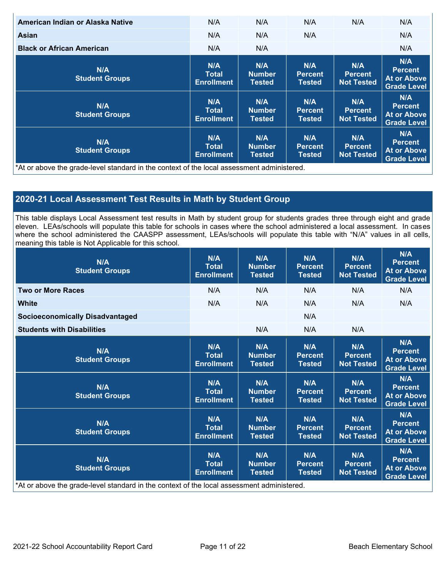| American Indian or Alaska Native                                                           | N/A                                      | N/A                                   | N/A                                    | N/A                                        | N/A                                                               |
|--------------------------------------------------------------------------------------------|------------------------------------------|---------------------------------------|----------------------------------------|--------------------------------------------|-------------------------------------------------------------------|
| Asian                                                                                      | N/A                                      | N/A                                   | N/A                                    |                                            | N/A                                                               |
| <b>Black or African American</b>                                                           | N/A                                      | N/A                                   |                                        |                                            | N/A                                                               |
| N/A<br><b>Student Groups</b>                                                               | N/A<br><b>Total</b><br><b>Enrollment</b> | N/A<br><b>Number</b><br><b>Tested</b> | N/A<br><b>Percent</b><br><b>Tested</b> | N/A<br><b>Percent</b><br><b>Not Tested</b> | N/A<br><b>Percent</b><br><b>At or Above</b><br><b>Grade Level</b> |
| N/A<br><b>Student Groups</b>                                                               | N/A<br>Total<br><b>Enrollment</b>        | N/A<br><b>Number</b><br>Tested        | N/A<br><b>Percent</b><br><b>Tested</b> | N/A<br><b>Percent</b><br><b>Not Tested</b> | N/A<br><b>Percent</b><br><b>At or Above</b><br><b>Grade Level</b> |
| N/A<br><b>Student Groups</b>                                                               | N/A<br><b>Total</b><br><b>Enrollment</b> | N/A<br><b>Number</b><br>Tested        | N/A<br><b>Percent</b><br><b>Tested</b> | N/A<br><b>Percent</b><br><b>Not Tested</b> | N/A<br><b>Percent</b><br>At or Above<br><b>Grade Level</b>        |
| *At or above the grade-level standard in the context of the local assessment administered. |                                          |                                       |                                        |                                            |                                                                   |

### **2020-21 Local Assessment Test Results in Math by Student Group**

This table displays Local Assessment test results in Math by student group for students grades three through eight and grade eleven. LEAs/schools will populate this table for schools in cases where the school administered a local assessment. In cases where the school administered the CAASPP assessment, LEAs/schools will populate this table with "N/A" values in all cells, meaning this table is Not Applicable for this school.

| N/A<br><b>Student Groups</b>                                                               | N/A<br><b>Total</b><br><b>Enrollment</b> | N/A<br><b>Number</b><br><b>Tested</b> | N/A<br><b>Percent</b><br><b>Tested</b> | N/A<br><b>Percent</b><br><b>Not Tested</b> | N/A<br><b>Percent</b><br><b>At or Above</b><br><b>Grade Level</b> |
|--------------------------------------------------------------------------------------------|------------------------------------------|---------------------------------------|----------------------------------------|--------------------------------------------|-------------------------------------------------------------------|
| <b>Two or More Races</b>                                                                   | N/A                                      | N/A                                   | N/A                                    | N/A                                        | N/A                                                               |
| <b>White</b>                                                                               | N/A                                      | N/A                                   | N/A                                    | N/A                                        | N/A                                                               |
| <b>Socioeconomically Disadvantaged</b>                                                     |                                          |                                       | N/A                                    |                                            |                                                                   |
| <b>Students with Disabilities</b>                                                          |                                          | N/A                                   | N/A                                    | N/A                                        |                                                                   |
| N/A<br><b>Student Groups</b>                                                               | N/A<br><b>Total</b><br><b>Enrollment</b> | N/A<br><b>Number</b><br><b>Tested</b> | N/A<br><b>Percent</b><br><b>Tested</b> | N/A<br><b>Percent</b><br><b>Not Tested</b> | N/A<br><b>Percent</b><br><b>At or Above</b><br><b>Grade Level</b> |
| N/A<br><b>Student Groups</b>                                                               | N/A<br><b>Total</b><br><b>Enrollment</b> | N/A<br><b>Number</b><br><b>Tested</b> | N/A<br><b>Percent</b><br><b>Tested</b> | N/A<br><b>Percent</b><br><b>Not Tested</b> | N/A<br><b>Percent</b><br><b>At or Above</b><br><b>Grade Level</b> |
| N/A<br><b>Student Groups</b>                                                               | N/A<br><b>Total</b><br><b>Enrollment</b> | N/A<br><b>Number</b><br><b>Tested</b> | N/A<br><b>Percent</b><br><b>Tested</b> | N/A<br><b>Percent</b><br><b>Not Tested</b> | N/A<br><b>Percent</b><br><b>At or Above</b><br><b>Grade Level</b> |
| N/A<br><b>Student Groups</b>                                                               | N/A<br><b>Total</b><br><b>Enrollment</b> | N/A<br><b>Number</b><br><b>Tested</b> | N/A<br><b>Percent</b><br><b>Tested</b> | N/A<br><b>Percent</b><br><b>Not Tested</b> | N/A<br><b>Percent</b><br><b>At or Above</b><br><b>Grade Level</b> |
| *At or above the grade-level standard in the context of the local assessment administered. |                                          |                                       |                                        |                                            |                                                                   |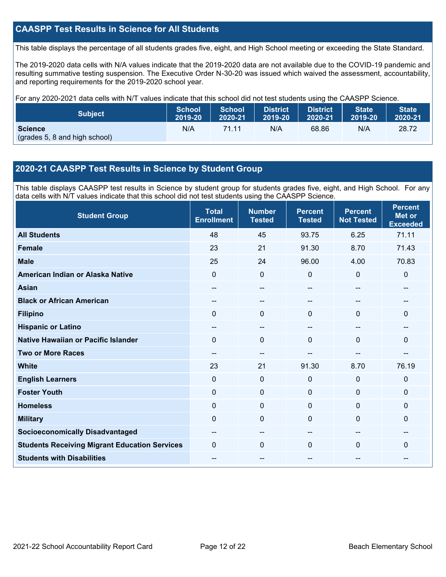### **CAASPP Test Results in Science for All Students**

This table displays the percentage of all students grades five, eight, and High School meeting or exceeding the State Standard.

The 2019-2020 data cells with N/A values indicate that the 2019-2020 data are not available due to the COVID-19 pandemic and resulting summative testing suspension. The Executive Order N-30-20 was issued which waived the assessment, accountability, and reporting requirements for the 2019-2020 school year.

For any 2020-2021 data cells with N/T values indicate that this school did not test students using the CAASPP Science.

| <b>Subject</b>                                  | <b>School</b> | <b>School</b> | <b>District</b> | District | <b>State</b> | <b>State</b> |
|-------------------------------------------------|---------------|---------------|-----------------|----------|--------------|--------------|
|                                                 | 2019-20       | 2020-21       | 2019-20         | 2020-21  | 2019-20      | 2020-21      |
| <b>Science</b><br>(grades 5, 8 and high school) | N/A           | 71.11         | N/A             | 68.86    | N/A          | 28.72        |

#### **2020-21 CAASPP Test Results in Science by Student Group**

This table displays CAASPP test results in Science by student group for students grades five, eight, and High School. For any data cells with N/T values indicate that this school did not test students using the CAASPP Science.

| <b>Student Group</b>                                 | <b>Total</b><br><b>Enrollment</b> | <b>Number</b><br><b>Tested</b> | <b>Percent</b><br><b>Tested</b> | <b>Percent</b><br><b>Not Tested</b> | <b>Percent</b><br><b>Met or</b><br><b>Exceeded</b> |
|------------------------------------------------------|-----------------------------------|--------------------------------|---------------------------------|-------------------------------------|----------------------------------------------------|
| <b>All Students</b>                                  | 48                                | 45                             | 93.75                           | 6.25                                | 71.11                                              |
| <b>Female</b>                                        | 23                                | 21                             | 91.30                           | 8.70                                | 71.43                                              |
| <b>Male</b>                                          | 25                                | 24                             | 96.00                           | 4.00                                | 70.83                                              |
| American Indian or Alaska Native                     | $\Omega$                          | 0                              | $\mathbf 0$                     | 0                                   | $\mathbf 0$                                        |
| <b>Asian</b>                                         |                                   | --                             |                                 | --                                  |                                                    |
| <b>Black or African American</b>                     |                                   | --                             |                                 |                                     |                                                    |
| <b>Filipino</b>                                      | $\Omega$                          | 0                              | $\mathbf{0}$                    | $\Omega$                            | $\mathbf{0}$                                       |
| <b>Hispanic or Latino</b>                            | $\overline{\phantom{a}}$          | $\qquad \qquad -$              | --                              | --                                  | --                                                 |
| <b>Native Hawaiian or Pacific Islander</b>           | 0                                 | 0                              | $\Omega$                        | $\mathbf 0$                         | $\mathbf{0}$                                       |
| <b>Two or More Races</b>                             | --                                | --                             |                                 | --                                  | --                                                 |
| <b>White</b>                                         | 23                                | 21                             | 91.30                           | 8.70                                | 76.19                                              |
| <b>English Learners</b>                              | 0                                 | $\mathbf 0$                    | $\mathbf 0$                     | $\mathbf 0$                         | $\mathbf 0$                                        |
| <b>Foster Youth</b>                                  | 0                                 | $\mathbf 0$                    | $\mathbf 0$                     | $\mathbf 0$                         | $\mathbf 0$                                        |
| <b>Homeless</b>                                      | $\Omega$                          | $\mathbf 0$                    | $\mathbf{0}$                    | $\Omega$                            | $\mathbf{0}$                                       |
| <b>Military</b>                                      | 0                                 | $\mathbf 0$                    | $\mathbf{0}$                    | $\Omega$                            | $\mathbf{0}$                                       |
| <b>Socioeconomically Disadvantaged</b>               | --                                | $\qquad \qquad -$              | --                              | --                                  | --                                                 |
| <b>Students Receiving Migrant Education Services</b> | 0                                 | $\Omega$                       | $\Omega$                        | $\mathbf 0$                         | $\mathbf{0}$                                       |
| <b>Students with Disabilities</b>                    | --                                | --                             | --                              | --                                  | --                                                 |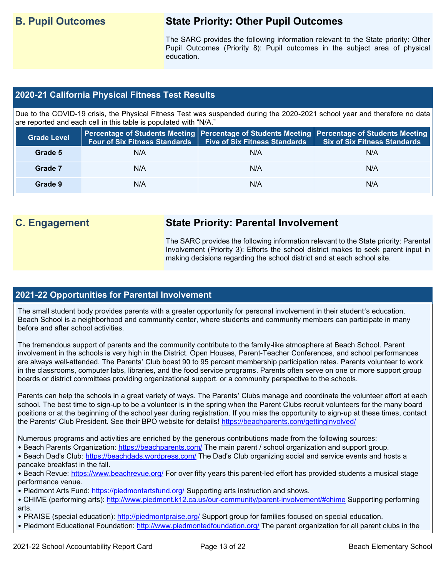# **B. Pupil Outcomes State Priority: Other Pupil Outcomes**

The SARC provides the following information relevant to the State priority: Other Pupil Outcomes (Priority 8): Pupil outcomes in the subject area of physical education.

#### **2020-21 California Physical Fitness Test Results**

Due to the COVID-19 crisis, the Physical Fitness Test was suspended during the 2020-2021 school year and therefore no data are reported and each cell in this table is populated with "N/A."

| <b>Grade Level</b> | <b>Four of Six Fitness Standards</b> | <b>Five of Six Fitness Standards</b> | Percentage of Students Meeting   Percentage of Students Meeting   Percentage of Students Meeting  <br><b>Six of Six Fitness Standards</b> |
|--------------------|--------------------------------------|--------------------------------------|-------------------------------------------------------------------------------------------------------------------------------------------|
| Grade 5            | N/A                                  | N/A                                  | N/A                                                                                                                                       |
| Grade 7            | N/A                                  | N/A                                  | N/A                                                                                                                                       |
| Grade 9            | N/A                                  | N/A                                  | N/A                                                                                                                                       |

# **C. Engagement State Priority: Parental Involvement**

The SARC provides the following information relevant to the State priority: Parental Involvement (Priority 3): Efforts the school district makes to seek parent input in making decisions regarding the school district and at each school site.

#### **2021-22 Opportunities for Parental Involvement**

The small student body provides parents with a greater opportunity for personal involvement in their student's education. Beach School is a neighborhood and community center, where students and community members can participate in many before and after school activities.

The tremendous support of parents and the community contribute to the family-like atmosphere at Beach School. Parent involvement in the schools is very high in the District. Open Houses, Parent-Teacher Conferences, and school performances are always well-attended. The Parents' Club boast 90 to 95 percent membership participation rates. Parents volunteer to work in the classrooms, computer labs, libraries, and the food service programs. Parents often serve on one or more support group boards or district committees providing organizational support, or a community perspective to the schools.

Parents can help the schools in a great variety of ways. The Parents' Clubs manage and coordinate the volunteer effort at each school. The best time to sign-up to be a volunteer is in the spring when the Parent Clubs recruit volunteers for the many board positions or at the beginning of the school year during registration. If you miss the opportunity to sign-up at these times, contact the Parents' Club President. See their BPO website for details!<https://beachparents.com/gettinginvolved/>

Numerous programs and activities are enriched by the generous contributions made from the following sources:

- Beach Parents Organization:<https://beachparents.com/> The main parent / school organization and support group.
- Beach Dad's Club:<https://beachdads.wordpress.com/> The Dad's Club organizing social and service events and hosts a pancake breakfast in the fall.
- Beach Revue:<https://www.beachrevue.org/> For over fifty years this parent-led effort has provided students a musical stage performance venue.
- Piedmont Arts Fund:<https://piedmontartsfund.org/> Supporting arts instruction and shows.
- CHIME (performing arts):<http://www.piedmont.k12.ca.us/our-community/parent-involvement/#chime> Supporting performing arts.
- PRAISE (special education):<http://piedmontpraise.org/> Support group for families focused on special education.
- Piedmont Educational Foundation:<http://www.piedmontedfoundation.org/> The parent organization for all parent clubs in the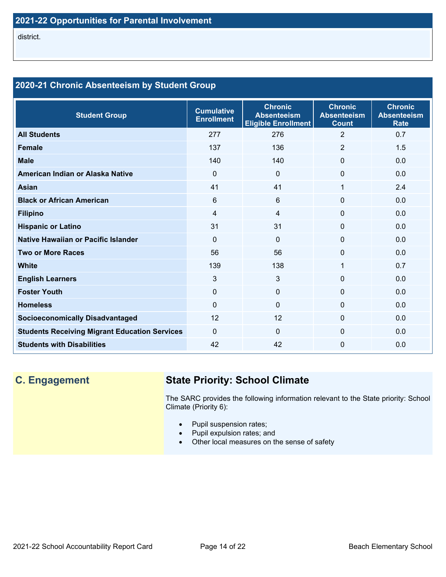## **2020-21 Chronic Absenteeism by Student Group**

| <b>Student Group</b>                                 | <b>Cumulative</b><br><b>Enrollment</b> | <b>Chronic</b><br><b>Absenteeism</b><br><b>Eligible Enrollment</b> | <b>Chronic</b><br><b>Absenteeism</b><br><b>Count</b> | <b>Chronic</b><br><b>Absenteeism</b><br><b>Rate</b> |
|------------------------------------------------------|----------------------------------------|--------------------------------------------------------------------|------------------------------------------------------|-----------------------------------------------------|
| <b>All Students</b>                                  | 277                                    | 276                                                                | 2                                                    | 0.7                                                 |
| <b>Female</b>                                        | 137                                    | 136                                                                | $\overline{2}$                                       | 1.5                                                 |
| <b>Male</b>                                          | 140                                    | 140                                                                | $\Omega$                                             | 0.0                                                 |
| American Indian or Alaska Native                     | $\Omega$                               | $\Omega$                                                           | 0                                                    | 0.0                                                 |
| <b>Asian</b>                                         | 41                                     | 41                                                                 | 1                                                    | 2.4                                                 |
| <b>Black or African American</b>                     | 6                                      | 6                                                                  | $\Omega$                                             | 0.0                                                 |
| <b>Filipino</b>                                      | 4                                      | $\overline{4}$                                                     | $\mathbf 0$                                          | 0.0                                                 |
| <b>Hispanic or Latino</b>                            | 31                                     | 31                                                                 | 0                                                    | 0.0                                                 |
| Native Hawaiian or Pacific Islander                  | $\Omega$                               | $\Omega$                                                           | $\Omega$                                             | 0.0                                                 |
| <b>Two or More Races</b>                             | 56                                     | 56                                                                 | $\Omega$                                             | 0.0                                                 |
| <b>White</b>                                         | 139                                    | 138                                                                | 1                                                    | 0.7                                                 |
| <b>English Learners</b>                              | 3                                      | 3                                                                  | $\Omega$                                             | 0.0                                                 |
| <b>Foster Youth</b>                                  | $\Omega$                               | $\mathbf 0$                                                        | 0                                                    | 0.0                                                 |
| <b>Homeless</b>                                      | $\Omega$                               | $\mathbf{0}$                                                       | $\Omega$                                             | 0.0                                                 |
| <b>Socioeconomically Disadvantaged</b>               | 12                                     | 12                                                                 | $\Omega$                                             | 0.0                                                 |
| <b>Students Receiving Migrant Education Services</b> | $\Omega$                               | $\Omega$                                                           | $\Omega$                                             | 0.0                                                 |
| <b>Students with Disabilities</b>                    | 42                                     | 42                                                                 | $\mathbf{0}$                                         | 0.0                                                 |

# **C. Engagement State Priority: School Climate**

The SARC provides the following information relevant to the State priority: School Climate (Priority 6):

- Pupil suspension rates;
- Pupil expulsion rates; and
- Other local measures on the sense of safety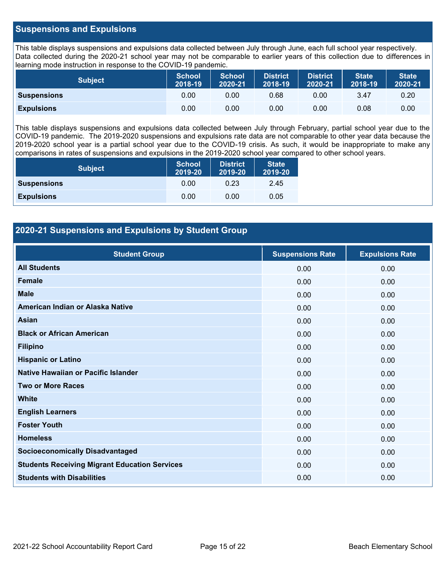#### **Suspensions and Expulsions**

This table displays suspensions and expulsions data collected between July through June, each full school year respectively. Data collected during the 2020-21 school year may not be comparable to earlier years of this collection due to differences in learning mode instruction in response to the COVID-19 pandemic.

| <b>Subject</b>     | <b>School</b><br>2018-19 | <b>School</b><br>2020-21 | <b>District</b><br>2018-19 | <b>District</b><br>2020-21 | <b>State</b><br>2018-19 | <b>State</b><br>2020-21 |
|--------------------|--------------------------|--------------------------|----------------------------|----------------------------|-------------------------|-------------------------|
| <b>Suspensions</b> | 0.00                     | 0.00                     | 0.68                       | 0.00                       | 3.47                    | 0.20                    |
| <b>Expulsions</b>  | 0.00                     | 0.00                     | 0.00                       | 0.00                       | 0.08                    | 0.00                    |

This table displays suspensions and expulsions data collected between July through February, partial school year due to the COVID-19 pandemic. The 2019-2020 suspensions and expulsions rate data are not comparable to other year data because the 2019-2020 school year is a partial school year due to the COVID-19 crisis. As such, it would be inappropriate to make any comparisons in rates of suspensions and expulsions in the 2019-2020 school year compared to other school years.

| <b>Subject</b>     | <b>School</b><br>2019-20 | <b>District</b><br>2019-20 | <b>State</b><br>2019-20 |
|--------------------|--------------------------|----------------------------|-------------------------|
| <b>Suspensions</b> | 0.00                     | 0.23                       | 2.45                    |
| <b>Expulsions</b>  | 0.00                     | 0.00                       | 0.05                    |

#### **2020-21 Suspensions and Expulsions by Student Group**

| <b>Student Group</b>                                 | <b>Suspensions Rate</b> | <b>Expulsions Rate</b> |
|------------------------------------------------------|-------------------------|------------------------|
| <b>All Students</b>                                  | 0.00                    | 0.00                   |
| <b>Female</b>                                        | 0.00                    | 0.00                   |
| <b>Male</b>                                          | 0.00                    | 0.00                   |
| American Indian or Alaska Native                     | 0.00                    | 0.00                   |
| <b>Asian</b>                                         | 0.00                    | 0.00                   |
| <b>Black or African American</b>                     | 0.00                    | 0.00                   |
| <b>Filipino</b>                                      | 0.00                    | 0.00                   |
| <b>Hispanic or Latino</b>                            | 0.00                    | 0.00                   |
| Native Hawaiian or Pacific Islander                  | 0.00                    | 0.00                   |
| <b>Two or More Races</b>                             | 0.00                    | 0.00                   |
| <b>White</b>                                         | 0.00                    | 0.00                   |
| <b>English Learners</b>                              | 0.00                    | 0.00                   |
| <b>Foster Youth</b>                                  | 0.00                    | 0.00                   |
| <b>Homeless</b>                                      | 0.00                    | 0.00                   |
| <b>Socioeconomically Disadvantaged</b>               | 0.00                    | 0.00                   |
| <b>Students Receiving Migrant Education Services</b> | 0.00                    | 0.00                   |
| <b>Students with Disabilities</b>                    | 0.00                    | 0.00                   |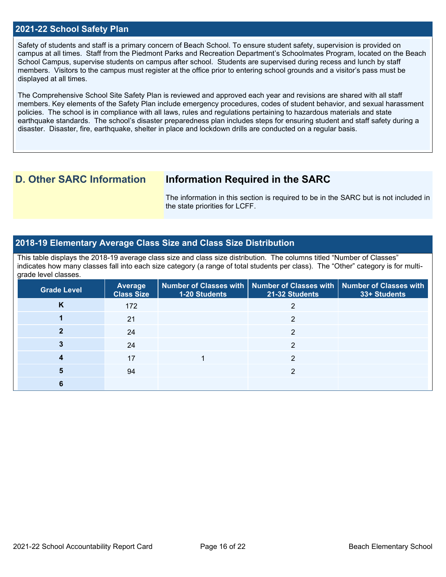#### **2021-22 School Safety Plan**

Safety of students and staff is a primary concern of Beach School. To ensure student safety, supervision is provided on campus at all times. Staff from the Piedmont Parks and Recreation Department's Schoolmates Program, located on the Beach School Campus, supervise students on campus after school. Students are supervised during recess and lunch by staff members. Visitors to the campus must register at the office prior to entering school grounds and a visitor's pass must be displayed at all times.

The Comprehensive School Site Safety Plan is reviewed and approved each year and revisions are shared with all staff members. Key elements of the Safety Plan include emergency procedures, codes of student behavior, and sexual harassment policies. The school is in compliance with all laws, rules and regulations pertaining to hazardous materials and state earthquake standards. The school's disaster preparedness plan includes steps for ensuring student and staff safety during a disaster. Disaster, fire, earthquake, shelter in place and lockdown drills are conducted on a regular basis.

# **D. Other SARC Information Information Required in the SARC**

The information in this section is required to be in the SARC but is not included in the state priorities for LCFF.

#### **2018-19 Elementary Average Class Size and Class Size Distribution**

This table displays the 2018-19 average class size and class size distribution. The columns titled "Number of Classes" indicates how many classes fall into each size category (a range of total students per class). The "Other" category is for multigrade level classes.

| <b>Grade Level</b> | <b>Average</b><br><b>Class Size</b> | <b>1-20 Students</b> | Number of Classes with   Number of Classes with   Number of Classes with<br>21-32 Students | 33+ Students |
|--------------------|-------------------------------------|----------------------|--------------------------------------------------------------------------------------------|--------------|
| K                  | 172                                 |                      |                                                                                            |              |
|                    | 21                                  |                      | っ                                                                                          |              |
|                    | 24                                  |                      | າ                                                                                          |              |
|                    | 24                                  |                      | ◠                                                                                          |              |
|                    | 17                                  |                      | ∩                                                                                          |              |
|                    | 94                                  |                      | ∩                                                                                          |              |
|                    |                                     |                      |                                                                                            |              |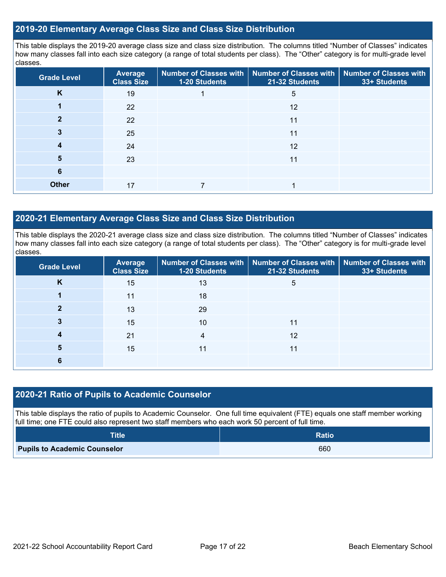#### **2019-20 Elementary Average Class Size and Class Size Distribution**

This table displays the 2019-20 average class size and class size distribution. The columns titled "Number of Classes" indicates how many classes fall into each size category (a range of total students per class). The "Other" category is for multi-grade level classes.

| <b>Grade Level</b> | Average<br><b>Class Size</b> | Number of Classes with<br>1-20 Students | <b>Number of Classes with</b><br>21-32 Students | <b>Number of Classes with</b><br>33+ Students |
|--------------------|------------------------------|-----------------------------------------|-------------------------------------------------|-----------------------------------------------|
| K                  | 19                           |                                         | 5                                               |                                               |
|                    | 22                           |                                         | 12                                              |                                               |
|                    | 22                           |                                         | 11                                              |                                               |
| 3                  | 25                           |                                         | 11                                              |                                               |
| 4                  | 24                           |                                         | 12                                              |                                               |
| 5                  | 23                           |                                         | 11                                              |                                               |
| 6                  |                              |                                         |                                                 |                                               |
| <b>Other</b>       | 17                           |                                         |                                                 |                                               |

#### **2020-21 Elementary Average Class Size and Class Size Distribution**

This table displays the 2020-21 average class size and class size distribution. The columns titled "Number of Classes" indicates how many classes fall into each size category (a range of total students per class). The "Other" category is for multi-grade level classes.

| <b>Grade Level</b> | <b>Average</b><br><b>Class Size</b> | 1-20 Students | Number of Classes with   Number of Classes with   Number of Classes with<br>21-32 Students | 33+ Students |
|--------------------|-------------------------------------|---------------|--------------------------------------------------------------------------------------------|--------------|
| K                  | 15                                  | 13            | 5                                                                                          |              |
|                    | 11                                  | 18            |                                                                                            |              |
|                    | 13                                  | 29            |                                                                                            |              |
|                    | 15                                  | 10            | 11                                                                                         |              |
|                    | 21                                  | 4             | 12                                                                                         |              |
| 5                  | 15                                  |               | 11                                                                                         |              |
|                    |                                     |               |                                                                                            |              |

#### **2020-21 Ratio of Pupils to Academic Counselor**

This table displays the ratio of pupils to Academic Counselor. One full time equivalent (FTE) equals one staff member working full time; one FTE could also represent two staff members who each work 50 percent of full time.

| <b>Title</b>                        | <b>Ratio</b> |
|-------------------------------------|--------------|
| <b>Pupils to Academic Counselor</b> | 660          |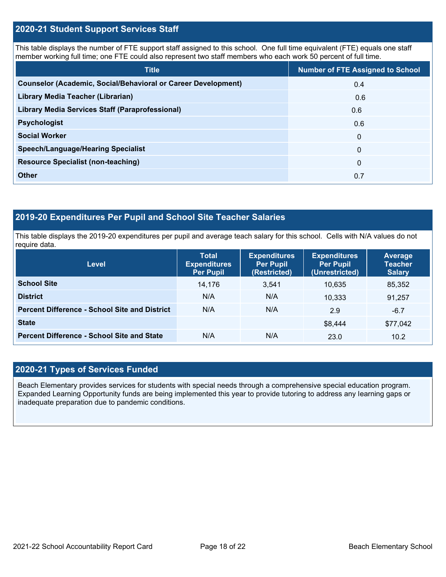#### **2020-21 Student Support Services Staff**

This table displays the number of FTE support staff assigned to this school. One full time equivalent (FTE) equals one staff member working full time; one FTE could also represent two staff members who each work 50 percent of full time.

| <b>Title</b>                                                         | <b>Number of FTE Assigned to School</b> |
|----------------------------------------------------------------------|-----------------------------------------|
| <b>Counselor (Academic, Social/Behavioral or Career Development)</b> | 0.4                                     |
| Library Media Teacher (Librarian)                                    | 0.6                                     |
| <b>Library Media Services Staff (Paraprofessional)</b>               | 0.6                                     |
| <b>Psychologist</b>                                                  | 0.6                                     |
| <b>Social Worker</b>                                                 | $\mathbf{0}$                            |
| <b>Speech/Language/Hearing Specialist</b>                            | $\mathbf{0}$                            |
| <b>Resource Specialist (non-teaching)</b>                            | $\mathbf{0}$                            |
| <b>Other</b>                                                         | 0.7                                     |

## **2019-20 Expenditures Per Pupil and School Site Teacher Salaries**

This table displays the 2019-20 expenditures per pupil and average teach salary for this school. Cells with N/A values do not require data.

| <b>Level</b>                                         | <b>Total</b><br><b>Expenditures</b><br><b>Per Pupil</b> | <b>Expenditures</b><br><b>Per Pupil</b><br>(Restricted) | <b>Expenditures</b><br><b>Per Pupil</b><br>(Unrestricted) | Average<br><b>Teacher</b><br><b>Salary</b> |
|------------------------------------------------------|---------------------------------------------------------|---------------------------------------------------------|-----------------------------------------------------------|--------------------------------------------|
| <b>School Site</b>                                   | 14.176                                                  | 3.541                                                   | 10.635                                                    | 85,352                                     |
| <b>District</b>                                      | N/A                                                     | N/A                                                     | 10.333                                                    | 91,257                                     |
| <b>Percent Difference - School Site and District</b> | N/A                                                     | N/A                                                     | 2.9                                                       | $-6.7$                                     |
| <b>State</b>                                         |                                                         |                                                         | \$8,444                                                   | \$77,042                                   |
| <b>Percent Difference - School Site and State</b>    | N/A                                                     | N/A                                                     | 23.0                                                      | 10.2                                       |

### **2020-21 Types of Services Funded**

Beach Elementary provides services for students with special needs through a comprehensive special education program. Expanded Learning Opportunity funds are being implemented this year to provide tutoring to address any learning gaps or inadequate preparation due to pandemic conditions.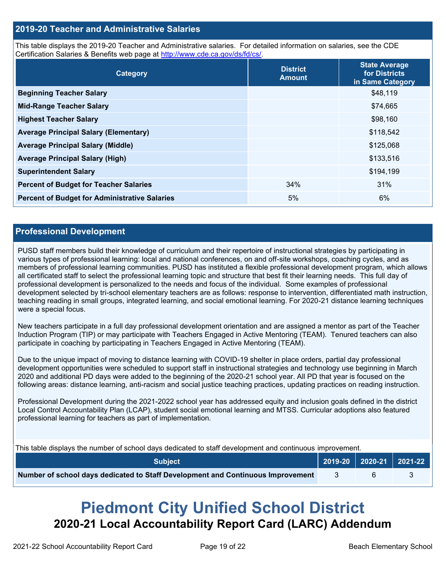#### **2019-20 Teacher and Administrative Salaries**

This table displays the 2019-20 Teacher and Administrative salaries. For detailed information on salaries, see the CDE Certification Salaries & Benefits web page at [http://www.cde.ca.gov/ds/fd/cs/.](http://www.cde.ca.gov/ds/fd/cs/)

| Category                                             | <b>District</b><br><b>Amount</b> | <b>State Average</b><br>for Districts<br>in Same Category |
|------------------------------------------------------|----------------------------------|-----------------------------------------------------------|
| <b>Beginning Teacher Salary</b>                      |                                  | \$48,119                                                  |
| <b>Mid-Range Teacher Salary</b>                      |                                  | \$74,665                                                  |
| <b>Highest Teacher Salary</b>                        |                                  | \$98,160                                                  |
| <b>Average Principal Salary (Elementary)</b>         |                                  | \$118,542                                                 |
| <b>Average Principal Salary (Middle)</b>             |                                  | \$125,068                                                 |
| <b>Average Principal Salary (High)</b>               |                                  | \$133,516                                                 |
| <b>Superintendent Salary</b>                         |                                  | \$194,199                                                 |
| <b>Percent of Budget for Teacher Salaries</b>        | 34%                              | 31%                                                       |
| <b>Percent of Budget for Administrative Salaries</b> | 5%                               | 6%                                                        |

#### **Professional Development**

PUSD staff members build their knowledge of curriculum and their repertoire of instructional strategies by participating in various types of professional learning: local and national conferences, on and off-site workshops, coaching cycles, and as members of professional learning communities. PUSD has instituted a flexible professional development program, which allows all certificated staff to select the professional learning topic and structure that best fit their learning needs. This full day of professional development is personalized to the needs and focus of the individual. Some examples of professional development selected by tri-school elementary teachers are as follows: response to intervention, differentiated math instruction, teaching reading in small groups, integrated learning, and social emotional learning. For 2020-21 distance learning techniques were a special focus.

New teachers participate in a full day professional development orientation and are assigned a mentor as part of the Teacher Induction Program (TIP) or may participate with Teachers Engaged in Active Mentoring (TEAM). Tenured teachers can also participate in coaching by participating in Teachers Engaged in Active Mentoring (TEAM).

Due to the unique impact of moving to distance learning with COVID-19 shelter in place orders, partial day professional development opportunities were scheduled to support staff in instructional strategies and technology use beginning in March 2020 and additional PD days were added to the beginning of the 2020-21 school year. All PD that year is focused on the following areas: distance learning, anti-racism and social justice teaching practices, updating practices on reading instruction.

Professional Development during the 2021-2022 school year has addressed equity and inclusion goals defined in the district Local Control Accountability Plan (LCAP), student social emotional learning and MTSS. Curricular adoptions also featured professional learning for teachers as part of implementation.

This table displays the number of school days dedicated to staff development and continuous improvement.

| ′ Subiect ⊥                                                                     |      | 2019-20   2020-21   2021-22 |  |
|---------------------------------------------------------------------------------|------|-----------------------------|--|
| Number of school days dedicated to Staff Development and Continuous Improvement | - 3- |                             |  |

# **Piedmont City Unified School District 2020-21 Local Accountability Report Card (LARC) Addendum**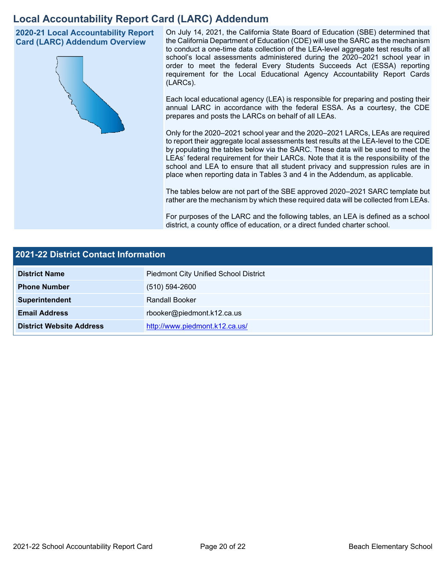# **Local Accountability Report Card (LARC) Addendum**

**2020-21 Local Accountability Report Card (LARC) Addendum Overview**



On July 14, 2021, the California State Board of Education (SBE) determined that the California Department of Education (CDE) will use the SARC as the mechanism to conduct a one-time data collection of the LEA-level aggregate test results of all school's local assessments administered during the 2020–2021 school year in order to meet the federal Every Students Succeeds Act (ESSA) reporting requirement for the Local Educational Agency Accountability Report Cards (LARCs).

Each local educational agency (LEA) is responsible for preparing and posting their annual LARC in accordance with the federal ESSA. As a courtesy, the CDE prepares and posts the LARCs on behalf of all LEAs.

Only for the 2020–2021 school year and the 2020–2021 LARCs, LEAs are required to report their aggregate local assessments test results at the LEA-level to the CDE by populating the tables below via the SARC. These data will be used to meet the LEAs' federal requirement for their LARCs. Note that it is the responsibility of the school and LEA to ensure that all student privacy and suppression rules are in place when reporting data in Tables 3 and 4 in the Addendum, as applicable.

The tables below are not part of the SBE approved 2020–2021 SARC template but rather are the mechanism by which these required data will be collected from LEAs.

For purposes of the LARC and the following tables, an LEA is defined as a school district, a county office of education, or a direct funded charter school.

| <b>2021-22 District Contact Information</b> |                                              |  |  |  |
|---------------------------------------------|----------------------------------------------|--|--|--|
| <b>District Name</b>                        | <b>Piedmont City Unified School District</b> |  |  |  |
| <b>Phone Number</b>                         | $(510) 594 - 2600$                           |  |  |  |
| Superintendent                              | Randall Booker                               |  |  |  |
| <b>Email Address</b>                        | rbooker@piedmont.k12.ca.us                   |  |  |  |
| <b>District Website Address</b>             | http://www.piedmont.k12.ca.us/               |  |  |  |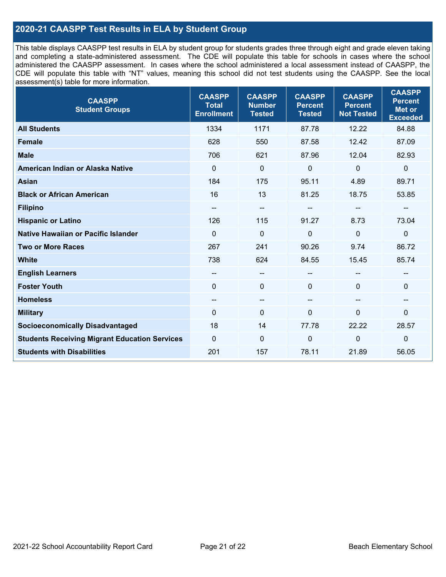### **2020-21 CAASPP Test Results in ELA by Student Group**

This table displays CAASPP test results in ELA by student group for students grades three through eight and grade eleven taking and completing a state-administered assessment. The CDE will populate this table for schools in cases where the school administered the CAASPP assessment. In cases where the school administered a local assessment instead of CAASPP, the CDE will populate this table with "NT" values, meaning this school did not test students using the CAASPP. See the local assessment(s) table for more information.

| <b>CAASPP</b><br><b>Total</b><br><b>Enrollment</b> | <b>CAASPP</b><br><b>Number</b><br><b>Tested</b> | <b>CAASPP</b><br><b>Percent</b><br><b>Tested</b> | <b>CAASPP</b><br><b>Percent</b><br><b>Not Tested</b> | <b>CAASPP</b><br><b>Percent</b><br><b>Met or</b><br><b>Exceeded</b> |
|----------------------------------------------------|-------------------------------------------------|--------------------------------------------------|------------------------------------------------------|---------------------------------------------------------------------|
| 1334                                               | 1171                                            | 87.78                                            | 12.22                                                | 84.88                                                               |
| 628                                                | 550                                             | 87.58                                            | 12.42                                                | 87.09                                                               |
| 706                                                | 621                                             | 87.96                                            | 12.04                                                | 82.93                                                               |
| $\mathbf 0$                                        | $\mathbf 0$                                     | $\mathbf 0$                                      | $\mathbf 0$                                          | $\mathbf 0$                                                         |
| 184                                                | 175                                             | 95.11                                            | 4.89                                                 | 89.71                                                               |
| 16                                                 | 13                                              | 81.25                                            | 18.75                                                | 53.85                                                               |
| --                                                 | $\overline{\phantom{m}}$                        |                                                  | --                                                   |                                                                     |
| 126                                                | 115                                             | 91.27                                            | 8.73                                                 | 73.04                                                               |
| $\Omega$                                           | $\mathbf 0$                                     | 0                                                | $\overline{0}$                                       | $\mathbf 0$                                                         |
| 267                                                | 241                                             | 90.26                                            | 9.74                                                 | 86.72                                                               |
| 738                                                | 624                                             | 84.55                                            | 15.45                                                | 85.74                                                               |
| --                                                 | $\overline{\phantom{m}}$                        | --                                               |                                                      |                                                                     |
| $\Omega$                                           | $\mathbf 0$                                     | $\mathbf{0}$                                     | $\Omega$                                             | 0                                                                   |
| --                                                 | $\overline{\phantom{m}}$                        | --                                               | $\overline{\phantom{a}}$                             | --                                                                  |
| 0                                                  | $\pmb{0}$                                       | 0                                                | 0                                                    | 0                                                                   |
| 18                                                 | 14                                              | 77.78                                            | 22.22                                                | 28.57                                                               |
| $\Omega$                                           | $\mathbf 0$                                     | 0                                                | $\mathbf 0$                                          | $\mathbf 0$                                                         |
| 201                                                | 157                                             | 78.11                                            | 21.89                                                | 56.05                                                               |
|                                                    |                                                 |                                                  |                                                      |                                                                     |